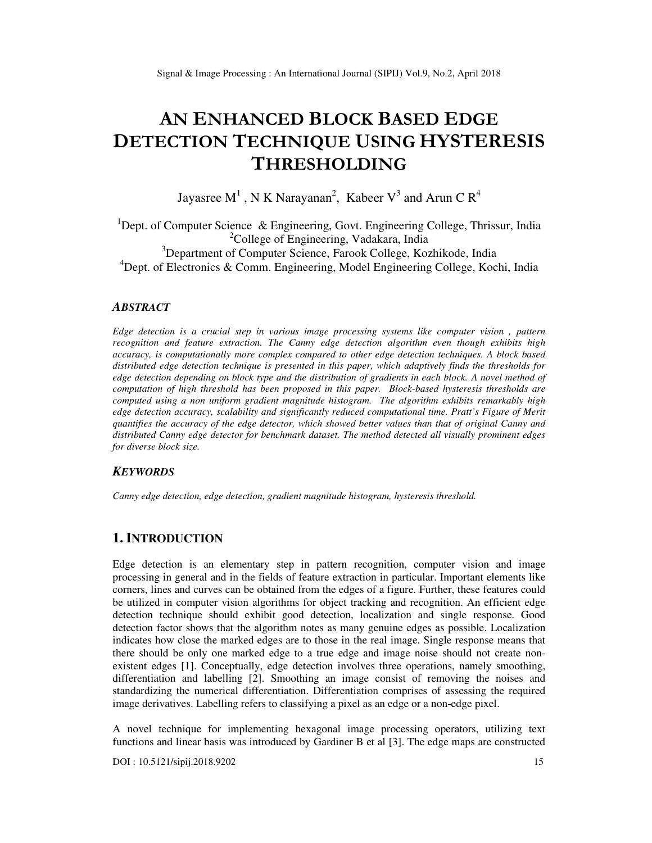# **AN ENHANCED BLOCK BASED EDGE DETECTION TECHNIQUE USING HYSTERESIS THRESHOLDING**

Jayasree M<sup>1</sup>, N K Narayanan<sup>2</sup>, Kabeer V<sup>3</sup> and Arun C R<sup>4</sup>

<sup>1</sup>Dept. of Computer Science & Engineering, Govt. Engineering College, Thrissur, India <sup>2</sup>College of Engineering, Vadakara, India <sup>3</sup>Department of Computer Science, Farook College, Kozhikode, India

<sup>4</sup>Dept. of Electronics & Comm. Engineering, Model Engineering College, Kochi, India

## *ABSTRACT*

*Edge detection is a crucial step in various image processing systems like computer vision , pattern recognition and feature extraction. The Canny edge detection algorithm even though exhibits high accuracy, is computationally more complex compared to other edge detection techniques. A block based distributed edge detection technique is presented in this paper, which adaptively finds the thresholds for edge detection depending on block type and the distribution of gradients in each block. A novel method of computation of high threshold has been proposed in this paper. Block-based hysteresis thresholds are computed using a non uniform gradient magnitude histogram. The algorithm exhibits remarkably high edge detection accuracy, scalability and significantly reduced computational time. Pratt's Figure of Merit quantifies the accuracy of the edge detector, which showed better values than that of original Canny and distributed Canny edge detector for benchmark dataset. The method detected all visually prominent edges for diverse block size.* 

## *KEYWORDS*

*Canny edge detection, edge detection, gradient magnitude histogram, hysteresis threshold.* 

# **1. INTRODUCTION**

Edge detection is an elementary step in pattern recognition, computer vision and image processing in general and in the fields of feature extraction in particular. Important elements like corners, lines and curves can be obtained from the edges of a figure. Further, these features could be utilized in computer vision algorithms for object tracking and recognition. An efficient edge detection technique should exhibit good detection, localization and single response. Good detection factor shows that the algorithm notes as many genuine edges as possible. Localization indicates how close the marked edges are to those in the real image. Single response means that there should be only one marked edge to a true edge and image noise should not create nonexistent edges [1]. Conceptually, edge detection involves three operations, namely smoothing, differentiation and labelling [2]. Smoothing an image consist of removing the noises and standardizing the numerical differentiation. Differentiation comprises of assessing the required image derivatives. Labelling refers to classifying a pixel as an edge or a non-edge pixel.

A novel technique for implementing hexagonal image processing operators, utilizing text functions and linear basis was introduced by Gardiner B et al [3]. The edge maps are constructed

DOI : 10.5121/sipij.2018.9202 15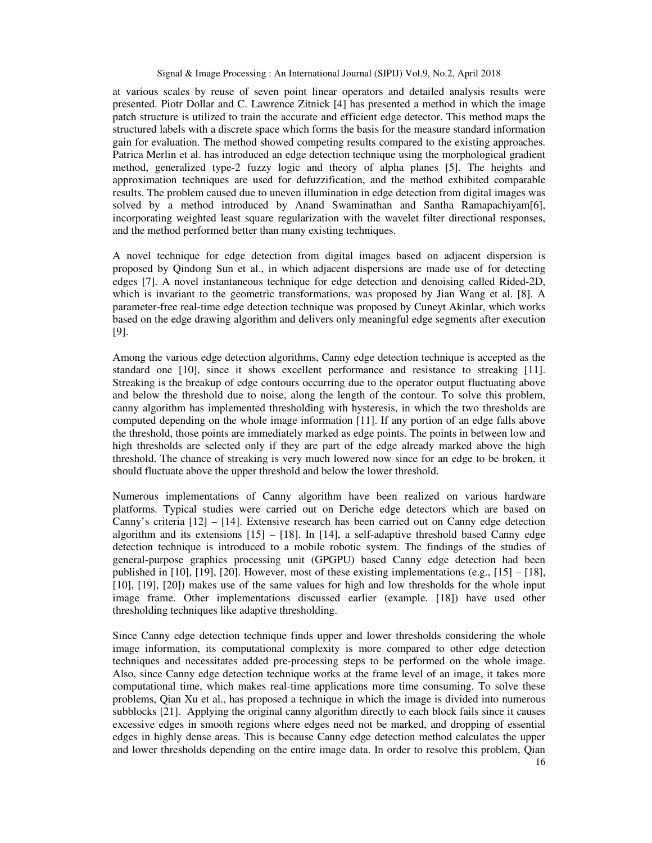at various scales by reuse of seven point linear operators and detailed analysis results were presented. Piotr Dollar and C. Lawrence Zitnick [4] has presented a method in which the image patch structure is utilized to train the accurate and efficient edge detector. This method maps the structured labels with a discrete space which forms the basis for the measure standard information gain for evaluation. The method showed competing results compared to the existing approaches. Patrica Merlin et al. has introduced an edge detection technique using the morphological gradient method, generalized type-2 fuzzy logic and theory of alpha planes [5]. The heights and approximation techniques are used for defuzzification, and the method exhibited comparable results. The problem caused due to uneven illumination in edge detection from digital images was solved by a method introduced by Anand Swaminathan and Santha Ramapachiyam[6], incorporating weighted least square regularization with the wavelet filter directional responses, and the method performed better than many existing techniques.

A novel technique for edge detection from digital images based on adjacent dispersion is proposed by Qindong Sun et al., in which adjacent dispersions are made use of for detecting edges [7]. A novel instantaneous technique for edge detection and denoising called Rided-2D, which is invariant to the geometric transformations, was proposed by Jian Wang et al. [8]. A parameter-free real-time edge detection technique was proposed by Cuneyt Akinlar, which works based on the edge drawing algorithm and delivers only meaningful edge segments after execution [9].

Among the various edge detection algorithms, Canny edge detection technique is accepted as the standard one [10], since it shows excellent performance and resistance to streaking [11]. Streaking is the breakup of edge contours occurring due to the operator output fluctuating above and below the threshold due to noise, along the length of the contour. To solve this problem, canny algorithm has implemented thresholding with hysteresis, in which the two thresholds are computed depending on the whole image information [11]. If any portion of an edge falls above the threshold, those points are immediately marked as edge points. The points in between low and high thresholds are selected only if they are part of the edge already marked above the high threshold. The chance of streaking is very much lowered now since for an edge to be broken, it should fluctuate above the upper threshold and below the lower threshold.

Numerous implementations of Canny algorithm have been realized on various hardware platforms. Typical studies were carried out on Deriche edge detectors which are based on Canny's criteria [12] – [14]. Extensive research has been carried out on Canny edge detection algorithm and its extensions  $[15] - [18]$ . In  $[14]$ , a self-adaptive threshold based Canny edge detection technique is introduced to a mobile robotic system. The findings of the studies of general-purpose graphics processing unit (GPGPU) based Canny edge detection had been published in [10], [19], [20]. However, most of these existing implementations (e.g.,  $[15] - [18]$ , [10], [19], [20]) makes use of the same values for high and low thresholds for the whole input image frame. Other implementations discussed earlier (example. [18]) have used other thresholding techniques like adaptive thresholding.

Since Canny edge detection technique finds upper and lower thresholds considering the whole image information, its computational complexity is more compared to other edge detection techniques and necessitates added pre-processing steps to be performed on the whole image. Also, since Canny edge detection technique works at the frame level of an image, it takes more computational time, which makes real-time applications more time consuming. To solve these problems, Qian Xu et al., has proposed a technique in which the image is divided into numerous subblocks [21]. Applying the original canny algorithm directly to each block fails since it causes excessive edges in smooth regions where edges need not be marked, and dropping of essential edges in highly dense areas. This is because Canny edge detection method calculates the upper and lower thresholds depending on the entire image data. In order to resolve this problem, Qian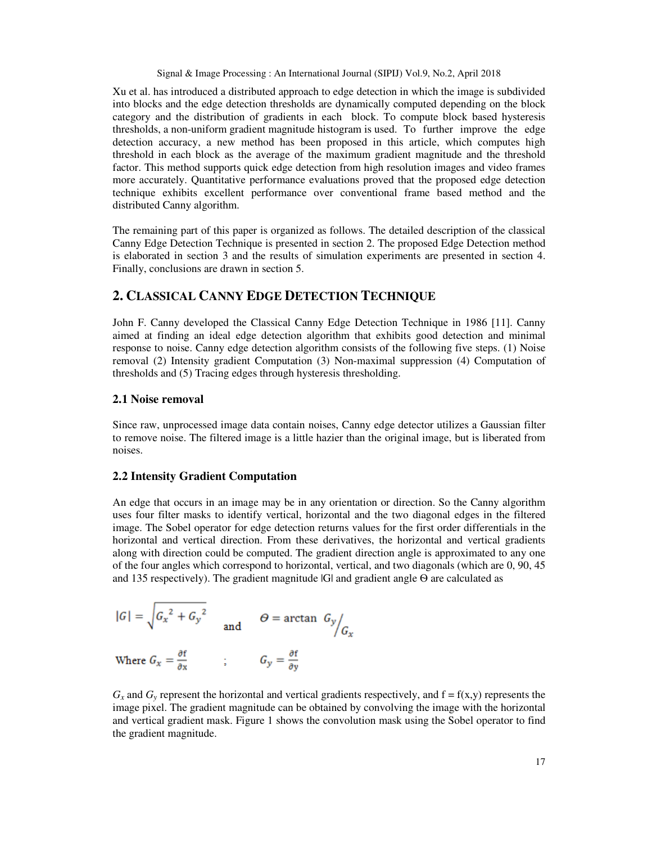Xu et al. has introduced a distributed approach to edge detection in which the image is subdivided into blocks and the edge detection thresholds are dynamically computed depending on the block category and the distribution of gradients in each block. To compute block based hysteresis thresholds, a non-uniform gradient magnitude histogram is used. To further improve the edge detection accuracy, a new method has been proposed in this article, which computes high threshold in each block as the average of the maximum gradient magnitude and the threshold factor. This method supports quick edge detection from high resolution images and video frames more accurately. Quantitative performance evaluations proved that the proposed edge detection technique exhibits excellent performance over conventional frame based method and the distributed Canny algorithm.

The remaining part of this paper is organized as follows. The detailed description of the classical Canny Edge Detection Technique is presented in section 2. The proposed Edge Detection method is elaborated in section 3 and the results of simulation experiments are presented in section 4. Finally, conclusions are drawn in section 5.

# **2. CLASSICAL CANNY EDGE DETECTION TECHNIQUE**

John F. Canny developed the Classical Canny Edge Detection Technique in 1986 [11]. Canny aimed at finding an ideal edge detection algorithm that exhibits good detection and minimal response to noise. Canny edge detection algorithm consists of the following five steps. (1) Noise removal (2) Intensity gradient Computation (3) Non-maximal suppression (4) Computation of thresholds and (5) Tracing edges through hysteresis thresholding.

#### **2.1 Noise removal**

Since raw, unprocessed image data contain noises, Canny edge detector utilizes a Gaussian filter to remove noise. The filtered image is a little hazier than the original image, but is liberated from noises.

## **2.2 Intensity Gradient Computation**

An edge that occurs in an image may be in any orientation or direction. So the Canny algorithm uses four filter masks to identify vertical, horizontal and the two diagonal edges in the filtered image. The Sobel operator for edge detection returns values for the first order differentials in the horizontal and vertical direction. From these derivatives, the horizontal and vertical gradients along with direction could be computed. The gradient direction angle is approximated to any one of the four angles which correspond to horizontal, vertical, and two diagonals (which are 0, 90, 45 and 135 respectively). The gradient magnitude |G| and gradient angle Θ are calculated as

$$
|G| = \sqrt{G_x^2 + G_y^2}
$$
 and  $\Theta = \arctan G_y / G_x$ 

Where  $G_x = \frac{\partial f}{\partial x}$  ;  $G_y = \frac{\partial f}{\partial y}$ 

 $G_x$  and  $G_y$  represent the horizontal and vertical gradients respectively, and  $f = f(x,y)$  represents the image pixel. The gradient magnitude can be obtained by convolving the image with the horizontal and vertical gradient mask. Figure 1 shows the convolution mask using the Sobel operator to find the gradient magnitude.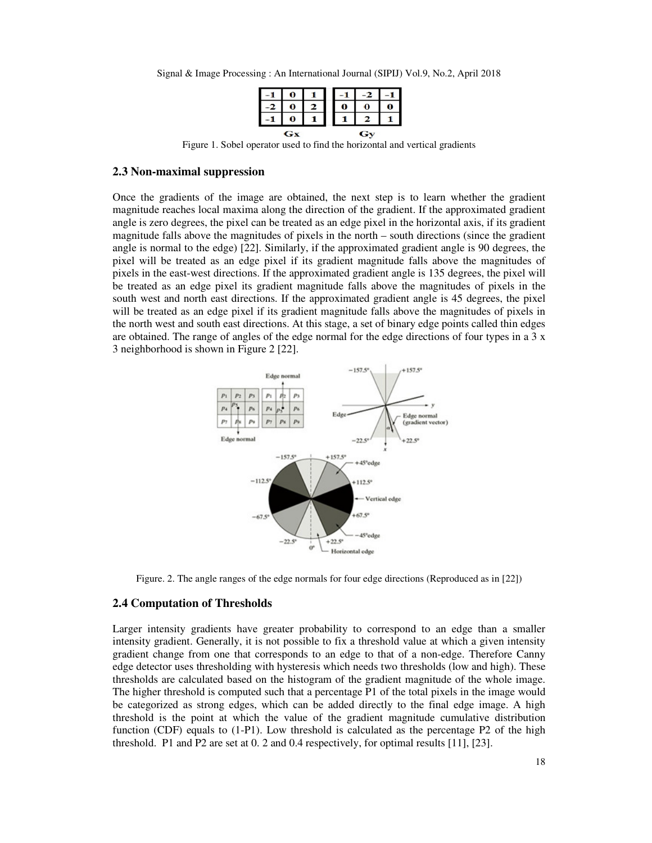Signal & Image Processing : An International Journal (SIPIJ) Vol.9, No.2, April 2018

|    | $\bf{0}$ |  |   |   |   |
|----|----------|--|---|---|---|
|    | O        |  | 0 | 0 | U |
|    |          |  |   |   |   |
| Gx |          |  |   |   |   |

Figure 1. Sobel operator used to find the horizontal and vertical gradients

#### **2.3 Non-maximal suppression**

Once the gradients of the image are obtained, the next step is to learn whether the gradient magnitude reaches local maxima along the direction of the gradient. If the approximated gradient angle is zero degrees, the pixel can be treated as an edge pixel in the horizontal axis, if its gradient magnitude falls above the magnitudes of pixels in the north – south directions (since the gradient angle is normal to the edge) [22]. Similarly, if the approximated gradient angle is 90 degrees, the pixel will be treated as an edge pixel if its gradient magnitude falls above the magnitudes of pixels in the east-west directions. If the approximated gradient angle is 135 degrees, the pixel will be treated as an edge pixel its gradient magnitude falls above the magnitudes of pixels in the south west and north east directions. If the approximated gradient angle is 45 degrees, the pixel will be treated as an edge pixel if its gradient magnitude falls above the magnitudes of pixels in the north west and south east directions. At this stage, a set of binary edge points called thin edges are obtained. The range of angles of the edge normal for the edge directions of four types in a 3 x 3 neighborhood is shown in Figure 2 [22].



Figure. 2. The angle ranges of the edge normals for four edge directions (Reproduced as in [22])

#### **2.4 Computation of Thresholds**

Larger intensity gradients have greater probability to correspond to an edge than a smaller intensity gradient. Generally, it is not possible to fix a threshold value at which a given intensity gradient change from one that corresponds to an edge to that of a non-edge. Therefore Canny edge detector uses thresholding with hysteresis which needs two thresholds (low and high). These thresholds are calculated based on the histogram of the gradient magnitude of the whole image. The higher threshold is computed such that a percentage P1 of the total pixels in the image would be categorized as strong edges, which can be added directly to the final edge image. A high threshold is the point at which the value of the gradient magnitude cumulative distribution function (CDF) equals to (1-P1). Low threshold is calculated as the percentage P2 of the high threshold. P1 and P2 are set at 0. 2 and 0.4 respectively, for optimal results [11], [23].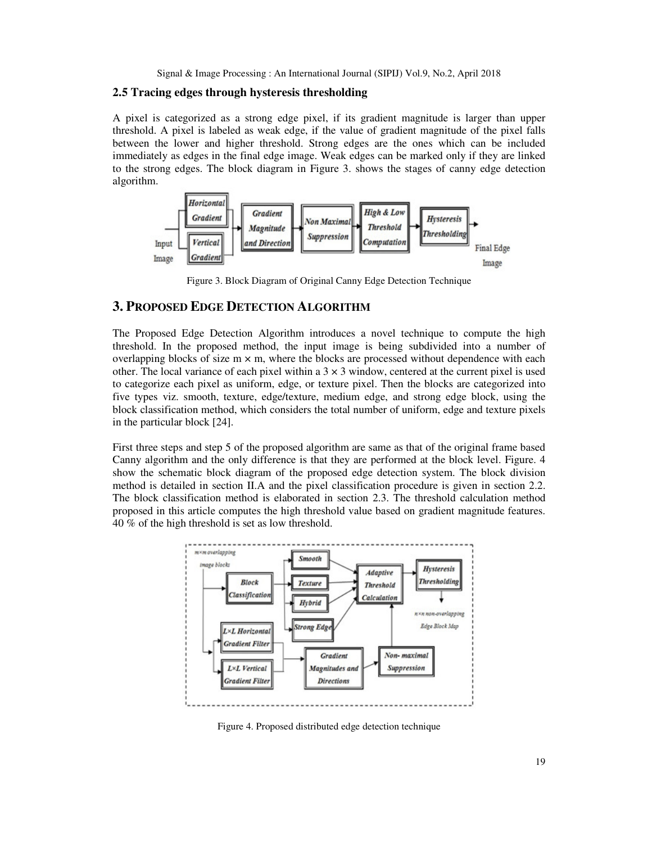## **2.5 Tracing edges through hysteresis thresholding**

A pixel is categorized as a strong edge pixel, if its gradient magnitude is larger than upper threshold. A pixel is labeled as weak edge, if the value of gradient magnitude of the pixel falls between the lower and higher threshold. Strong edges are the ones which can be included immediately as edges in the final edge image. Weak edges can be marked only if they are linked to the strong edges. The block diagram in Figure 3. shows the stages of canny edge detection algorithm.



Figure 3. Block Diagram of Original Canny Edge Detection Technique

# **3. PROPOSED EDGE DETECTION ALGORITHM**

The Proposed Edge Detection Algorithm introduces a novel technique to compute the high threshold. In the proposed method, the input image is being subdivided into a number of overlapping blocks of size  $m \times m$ , where the blocks are processed without dependence with each other. The local variance of each pixel within a  $3 \times 3$  window, centered at the current pixel is used to categorize each pixel as uniform, edge, or texture pixel. Then the blocks are categorized into five types viz. smooth, texture, edge/texture, medium edge, and strong edge block, using the block classification method, which considers the total number of uniform, edge and texture pixels in the particular block [24].

First three steps and step 5 of the proposed algorithm are same as that of the original frame based Canny algorithm and the only difference is that they are performed at the block level. Figure. 4 show the schematic block diagram of the proposed edge detection system. The block division method is detailed in section II.A and the pixel classification procedure is given in section 2.2. The block classification method is elaborated in section 2.3. The threshold calculation method proposed in this article computes the high threshold value based on gradient magnitude features. 40 % of the high threshold is set as low threshold.



Figure 4. Proposed distributed edge detection technique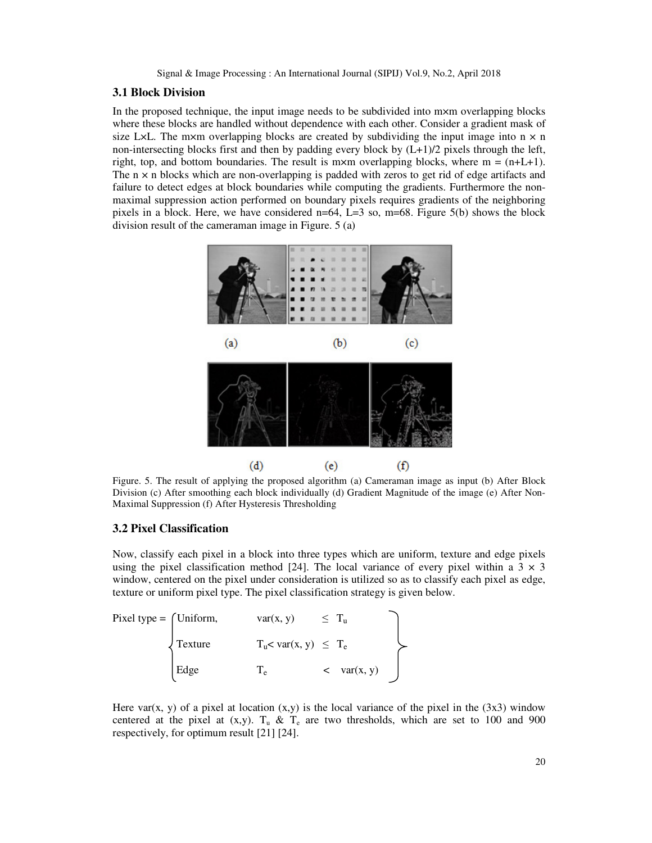#### **3.1 Block Division**

In the proposed technique, the input image needs to be subdivided into m×m overlapping blocks where these blocks are handled without dependence with each other. Consider a gradient mask of size L×L. The m×m overlapping blocks are created by subdividing the input image into  $n \times n$ non-intersecting blocks first and then by padding every block by (L+1)/2 pixels through the left, right, top, and bottom boundaries. The result is m×m overlapping blocks, where  $m = (n+L+1)$ . The  $n \times n$  blocks which are non-overlapping is padded with zeros to get rid of edge artifacts and failure to detect edges at block boundaries while computing the gradients. Furthermore the nonmaximal suppression action performed on boundary pixels requires gradients of the neighboring pixels in a block. Here, we have considered  $n=64$ ,  $L=3$  so,  $m=68$ . Figure 5(b) shows the block division result of the cameraman image in Figure. 5 (a)



Figure. 5. The result of applying the proposed algorithm (a) Cameraman image as input (b) After Block Division (c) After smoothing each block individually (d) Gradient Magnitude of the image (e) After Non-Maximal Suppression (f) After Hysteresis Thresholding

## **3.2 Pixel Classification**

Now, classify each pixel in a block into three types which are uniform, texture and edge pixels using the pixel classification method [24]. The local variance of every pixel within a  $3 \times 3$ window, centered on the pixel under consideration is utilized so as to classify each pixel as edge, texture or uniform pixel type. The pixel classification strategy is given below.

Fixed type = 
$$
\begin{cases} \text{Uniform,} & \text{var}(x, y) \leq T_u \\ \text{Texture} & T_u < \text{var}(x, y) \leq T_e \\ \text{Edge} & T_e < \text{var}(x, y) \end{cases}
$$

Here var(x, y) of a pixel at location  $(x,y)$  is the local variance of the pixel in the  $(3x3)$  window centered at the pixel at  $(x,y)$ .  $T_u \& T_e$  are two thresholds, which are set to 100 and 900 respectively, for optimum result [21] [24].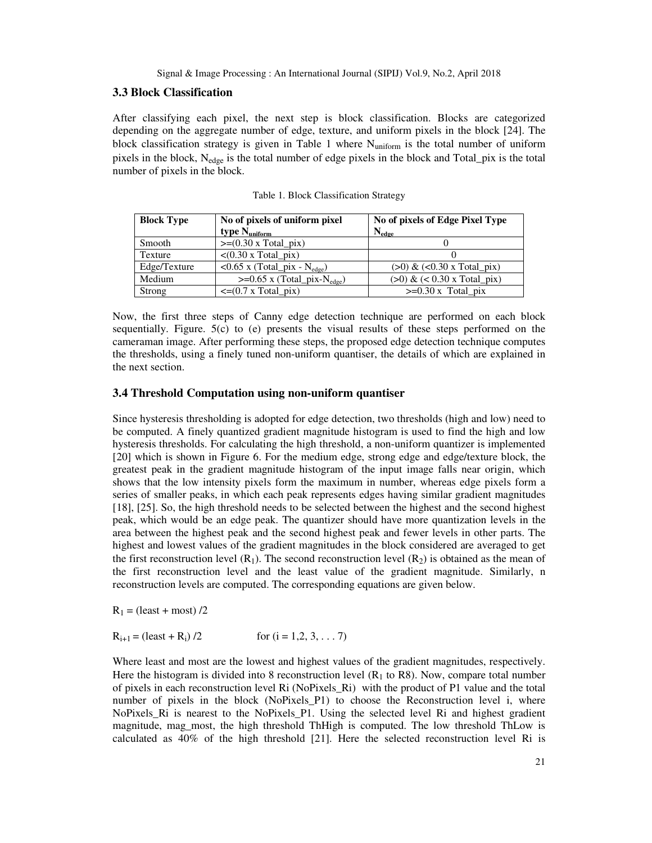#### **3.3 Block Classification**

After classifying each pixel, the next step is block classification. Blocks are categorized depending on the aggregate number of edge, texture, and uniform pixels in the block [24]. The block classification strategy is given in Table 1 where Nuniform is the total number of uniform pixels in the block, N<sub>edge</sub> is the total number of edge pixels in the block and Total\_pix is the total number of pixels in the block.

| <b>Block Type</b> | No of pixels of uniform pixel                      | No of pixels of Edge Pixel Type |  |  |
|-------------------|----------------------------------------------------|---------------------------------|--|--|
|                   | type $N_{uniform}$                                 | $N_{\text{edge}}$               |  |  |
| Smooth            | $\geq (0.30 \times \text{Total} \cdot \text{pix})$ |                                 |  |  |
| Texture           | $\langle 0.30 \times \text{Total} \rangle$         |                                 |  |  |
| Edge/Texture      | $< 0.65$ x (Total_pix - N <sub>edge</sub> )        | $(>0)$ & $(<0.30$ x Total_pix)  |  |  |
| Medium            | $>=0.65$ x (Total_pix-N <sub>edge</sub> )          | $(>0)$ & $(< 0.30$ x Total_pix) |  |  |
| Strong            | $\leq$ =(0.7 x Total_pix)                          | $>=0.30$ x Total pix            |  |  |

Table 1. Block Classification Strategy

Now, the first three steps of Canny edge detection technique are performed on each block sequentially. Figure. 5(c) to (e) presents the visual results of these steps performed on the cameraman image. After performing these steps, the proposed edge detection technique computes the thresholds, using a finely tuned non-uniform quantiser, the details of which are explained in the next section.

## **3.4 Threshold Computation using non-uniform quantiser**

Since hysteresis thresholding is adopted for edge detection, two thresholds (high and low) need to be computed. A finely quantized gradient magnitude histogram is used to find the high and low hysteresis thresholds. For calculating the high threshold, a non-uniform quantizer is implemented [20] which is shown in Figure 6. For the medium edge, strong edge and edge/texture block, the greatest peak in the gradient magnitude histogram of the input image falls near origin, which shows that the low intensity pixels form the maximum in number, whereas edge pixels form a series of smaller peaks, in which each peak represents edges having similar gradient magnitudes [18], [25]. So, the high threshold needs to be selected between the highest and the second highest peak, which would be an edge peak. The quantizer should have more quantization levels in the area between the highest peak and the second highest peak and fewer levels in other parts. The highest and lowest values of the gradient magnitudes in the block considered are averaged to get the first reconstruction level  $(R_1)$ . The second reconstruction level  $(R_2)$  is obtained as the mean of the first reconstruction level and the least value of the gradient magnitude. Similarly, n reconstruction levels are computed. The corresponding equations are given below.

 $R_1$  = (least + most) /2

$$
R_{i+1} = (\text{least} + R_i) / 2 \qquad \text{for } (i = 1, 2, 3, \dots 7)
$$

Where least and most are the lowest and highest values of the gradient magnitudes, respectively. Here the histogram is divided into 8 reconstruction level  $(R<sub>1</sub>$  to R8). Now, compare total number of pixels in each reconstruction level Ri (NoPixels\_Ri) with the product of P1 value and the total number of pixels in the block (NoPixels\_P1) to choose the Reconstruction level i, where NoPixels\_Ri is nearest to the NoPixels\_P1. Using the selected level Ri and highest gradient magnitude, mag\_most, the high threshold ThHigh is computed. The low threshold ThLow is calculated as 40% of the high threshold [21]. Here the selected reconstruction level Ri is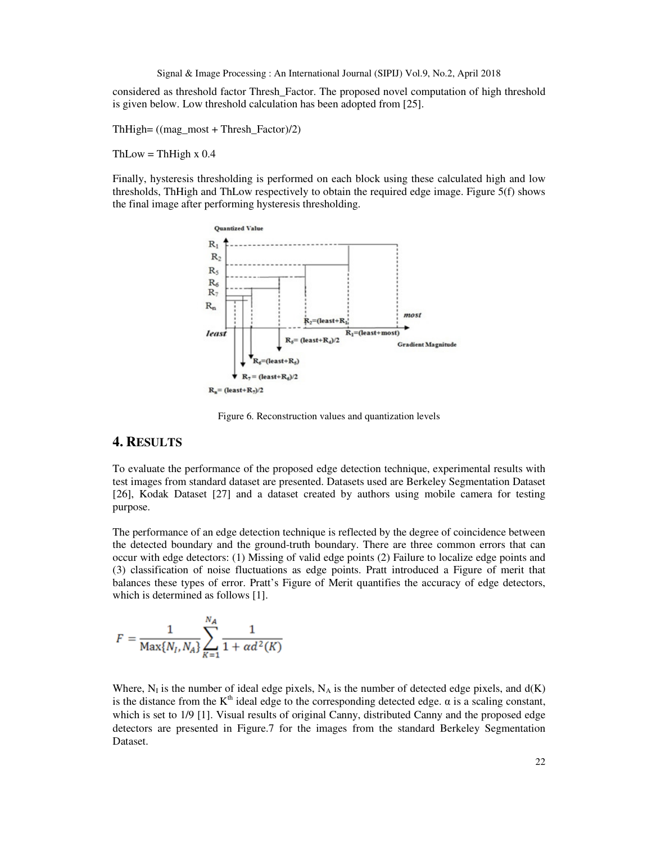considered as threshold factor Thresh\_Factor. The proposed novel computation of high threshold is given below. Low threshold calculation has been adopted from [25].

ThHigh= ((mag\_most + Thresh\_Factor)/2)

 $ThLow = ThHigh x 0.4$ 

Finally, hysteresis thresholding is performed on each block using these calculated high and low thresholds, ThHigh and ThLow respectively to obtain the required edge image. Figure 5(f) shows the final image after performing hysteresis thresholding.



Figure 6. Reconstruction values and quantization levels

# **4. RESULTS**

To evaluate the performance of the proposed edge detection technique, experimental results with test images from standard dataset are presented. Datasets used are Berkeley Segmentation Dataset [26], Kodak Dataset [27] and a dataset created by authors using mobile camera for testing purpose.

The performance of an edge detection technique is reflected by the degree of coincidence between the detected boundary and the ground-truth boundary. There are three common errors that can occur with edge detectors: (1) Missing of valid edge points (2) Failure to localize edge points and (3) classification of noise fluctuations as edge points. Pratt introduced a Figure of merit that balances these types of error. Pratt's Figure of Merit quantifies the accuracy of edge detectors, which is determined as follows [1].

$$
F = \frac{1}{\text{Max}\{N_I, N_A\}} \sum_{K=1}^{N_A} \frac{1}{1 + \alpha d^2(K)}
$$

Where,  $N_I$  is the number of ideal edge pixels,  $N_A$  is the number of detected edge pixels, and  $d(K)$ is the distance from the  $K<sup>th</sup>$  ideal edge to the corresponding detected edge.  $\alpha$  is a scaling constant, which is set to  $1/9$  [1]. Visual results of original Canny, distributed Canny and the proposed edge detectors are presented in Figure.7 for the images from the standard Berkeley Segmentation Dataset.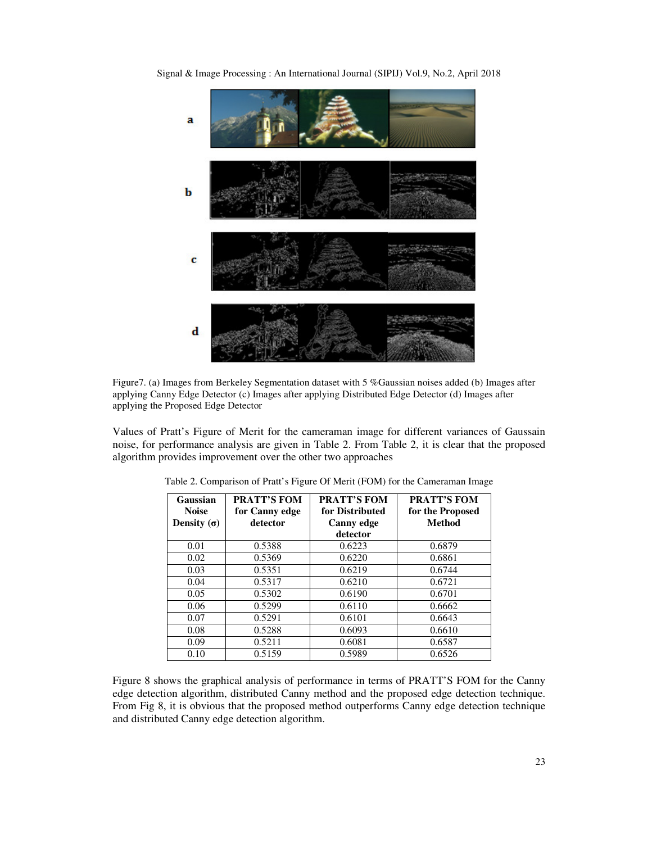Signal & Image Processing : An International Journal (SIPIJ) Vol.9, No.2, April 2018



Figure7. (a) Images from Berkeley Segmentation dataset with 5 %Gaussian noises added (b) Images after applying Canny Edge Detector (c) Images after applying Distributed Edge Detector (d) Images after applying the Proposed Edge Detector

Values of Pratt's Figure of Merit for the cameraman image for different variances of Gaussain noise, for performance analysis are given in Table 2. From Table 2, it is clear that the proposed algorithm provides improvement over the other two approaches

| Gaussian<br><b>Noise</b> | <b>PRATT'S FOM</b><br>for Canny edge | <b>PRATT'S FOM</b><br>for Distributed | <b>PRATT'S FOM</b><br>for the Proposed |
|--------------------------|--------------------------------------|---------------------------------------|----------------------------------------|
| Density $(\sigma)$       | detector                             | <b>Canny edge</b>                     | Method                                 |
|                          |                                      | detector                              |                                        |
| 0.01                     | 0.5388                               | 0.6223                                | 0.6879                                 |
| 0.02                     | 0.5369                               | 0.6220                                | 0.6861                                 |
| 0.03                     | 0.5351                               | 0.6219                                | 0.6744                                 |
| 0.04                     | 0.5317                               | 0.6210                                | 0.6721                                 |
| 0.05                     | 0.5302                               | 0.6190                                | 0.6701                                 |
| 0.06                     | 0.5299                               | 0.6110                                | 0.6662                                 |
| 0.07                     | 0.5291                               | 0.6101                                | 0.6643                                 |
| 0.08                     | 0.5288                               | 0.6093                                | 0.6610                                 |
| 0.09                     | 0.5211                               | 0.6081                                | 0.6587                                 |
| 0.10                     | 0.5159                               | 0.5989                                | 0.6526                                 |

Table 2. Comparison of Pratt's Figure Of Merit (FOM) for the Cameraman Image

Figure 8 shows the graphical analysis of performance in terms of PRATT'S FOM for the Canny edge detection algorithm, distributed Canny method and the proposed edge detection technique. From Fig 8, it is obvious that the proposed method outperforms Canny edge detection technique and distributed Canny edge detection algorithm.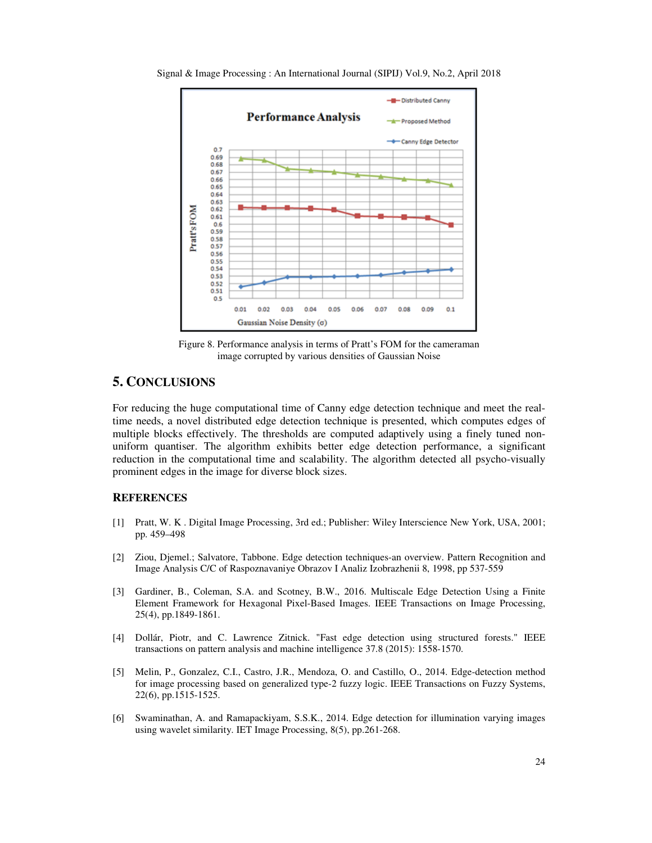

Signal & Image Processing : An International Journal (SIPIJ) Vol.9, No.2, April 2018

Figure 8. Performance analysis in terms of Pratt's FOM for the cameraman image corrupted by various densities of Gaussian Noise

# **5. CONCLUSIONS**

For reducing the huge computational time of Canny edge detection technique and meet the realtime needs, a novel distributed edge detection technique is presented, which computes edges of multiple blocks effectively. The thresholds are computed adaptively using a finely tuned nonuniform quantiser. The algorithm exhibits better edge detection performance, a significant reduction in the computational time and scalability. The algorithm detected all psycho-visually prominent edges in the image for diverse block sizes.

## **REFERENCES**

- [1] Pratt, W. K . Digital Image Processing, 3rd ed.; Publisher: Wiley Interscience New York, USA, 2001; pp. 459–498
- [2] Ziou, Djemel.; Salvatore, Tabbone. Edge detection techniques-an overview. Pattern Recognition and Image Analysis C/C of Raspoznavaniye Obrazov I Analiz Izobrazhenii 8, 1998, pp 537-559
- [3] Gardiner, B., Coleman, S.A. and Scotney, B.W., 2016. Multiscale Edge Detection Using a Finite Element Framework for Hexagonal Pixel-Based Images. IEEE Transactions on Image Processing, 25(4), pp.1849-1861.
- [4] Dollár, Piotr, and C. Lawrence Zitnick. "Fast edge detection using structured forests." IEEE transactions on pattern analysis and machine intelligence 37.8 (2015): 1558-1570.
- [5] Melin, P., Gonzalez, C.I., Castro, J.R., Mendoza, O. and Castillo, O., 2014. Edge-detection method for image processing based on generalized type-2 fuzzy logic. IEEE Transactions on Fuzzy Systems, 22(6), pp.1515-1525.
- [6] Swaminathan, A. and Ramapackiyam, S.S.K., 2014. Edge detection for illumination varying images using wavelet similarity. IET Image Processing, 8(5), pp.261-268.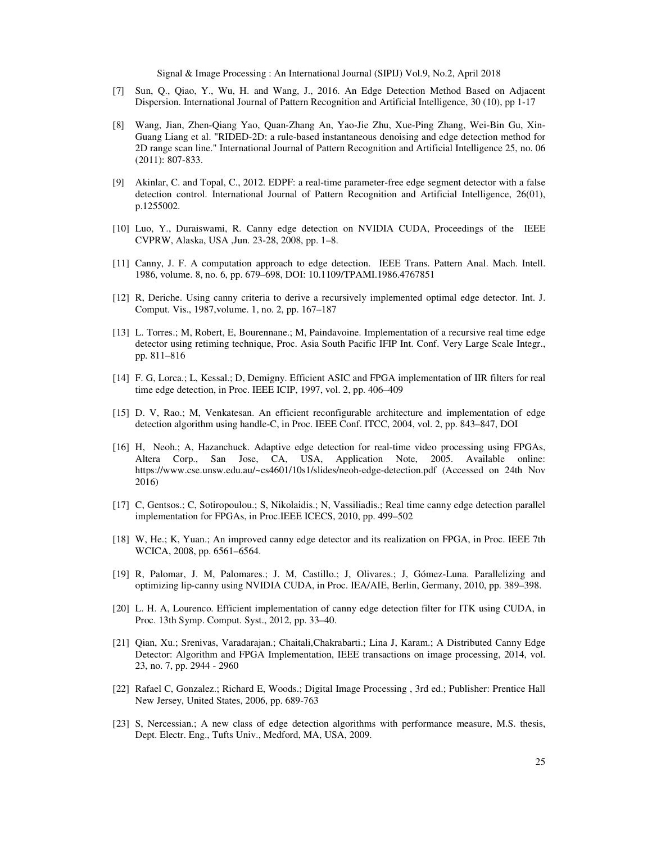- [7] Sun, Q., Qiao, Y., Wu, H. and Wang, J., 2016. An Edge Detection Method Based on Adjacent Dispersion. International Journal of Pattern Recognition and Artificial Intelligence, 30 (10), pp 1-17
- [8] Wang, Jian, Zhen-Qiang Yao, Quan-Zhang An, Yao-Jie Zhu, Xue-Ping Zhang, Wei-Bin Gu, Xin-Guang Liang et al. "RIDED-2D: a rule-based instantaneous denoising and edge detection method for 2D range scan line." International Journal of Pattern Recognition and Artificial Intelligence 25, no. 06 (2011): 807-833.
- [9] Akinlar, C. and Topal, C., 2012. EDPF: a real-time parameter-free edge segment detector with a false detection control. International Journal of Pattern Recognition and Artificial Intelligence, 26(01), p.1255002.
- [10] Luo, Y., Duraiswami, R. Canny edge detection on NVIDIA CUDA, Proceedings of the IEEE CVPRW, Alaska, USA ,Jun. 23-28, 2008, pp. 1–8.
- [11] Canny, J. F. A computation approach to edge detection. IEEE Trans. Pattern Anal. Mach. Intell. 1986, volume. 8, no. 6, pp. 679–698, DOI: 10.1109/TPAMI.1986.4767851
- [12] R, Deriche. Using canny criteria to derive a recursively implemented optimal edge detector. Int. J. Comput. Vis., 1987,volume. 1, no. 2, pp. 167–187
- [13] L. Torres.; M, Robert, E, Bourennane.; M, Paindavoine. Implementation of a recursive real time edge detector using retiming technique, Proc. Asia South Pacific IFIP Int. Conf. Very Large Scale Integr., pp. 811–816
- [14] F. G, Lorca.; L, Kessal.; D, Demigny. Efficient ASIC and FPGA implementation of IIR filters for real time edge detection, in Proc. IEEE ICIP, 1997, vol. 2, pp. 406–409
- [15] D. V, Rao.; M, Venkatesan. An efficient reconfigurable architecture and implementation of edge detection algorithm using handle-C, in Proc. IEEE Conf. ITCC, 2004, vol. 2, pp. 843–847, DOI
- [16] H, Neoh.; A, Hazanchuck. Adaptive edge detection for real-time video processing using FPGAs, Altera Corp., San Jose, CA, USA, Application Note, 2005. Available online: https://www.cse.unsw.edu.au/~cs4601/10s1/slides/neoh-edge-detection.pdf (Accessed on 24th Nov 2016)
- [17] C, Gentsos.; C, Sotiropoulou.; S, Nikolaidis.; N, Vassiliadis.; Real time canny edge detection parallel implementation for FPGAs, in Proc.IEEE ICECS, 2010, pp. 499–502
- [18] W, He.; K, Yuan.; An improved canny edge detector and its realization on FPGA, in Proc. IEEE 7th WCICA, 2008, pp. 6561–6564.
- [19] R, Palomar, J. M, Palomares.; J. M, Castillo.; J, Olivares.; J, Gómez-Luna. Parallelizing and optimizing lip-canny using NVIDIA CUDA, in Proc. IEA/AIE, Berlin, Germany, 2010, pp. 389–398.
- [20] L. H. A, Lourenco. Efficient implementation of canny edge detection filter for ITK using CUDA, in Proc. 13th Symp. Comput. Syst., 2012, pp. 33–40.
- [21] Qian, Xu.; Srenivas, Varadarajan.; Chaitali,Chakrabarti.; Lina J, Karam.; A Distributed Canny Edge Detector: Algorithm and FPGA Implementation, IEEE transactions on image processing, 2014, vol. 23, no. 7, pp. 2944 - 2960
- [22] Rafael C, Gonzalez.; Richard E, Woods.; Digital Image Processing , 3rd ed.; Publisher: Prentice Hall New Jersey, United States, 2006, pp. 689-763
- [23] S, Nercessian.; A new class of edge detection algorithms with performance measure, M.S. thesis, Dept. Electr. Eng., Tufts Univ., Medford, MA, USA, 2009.